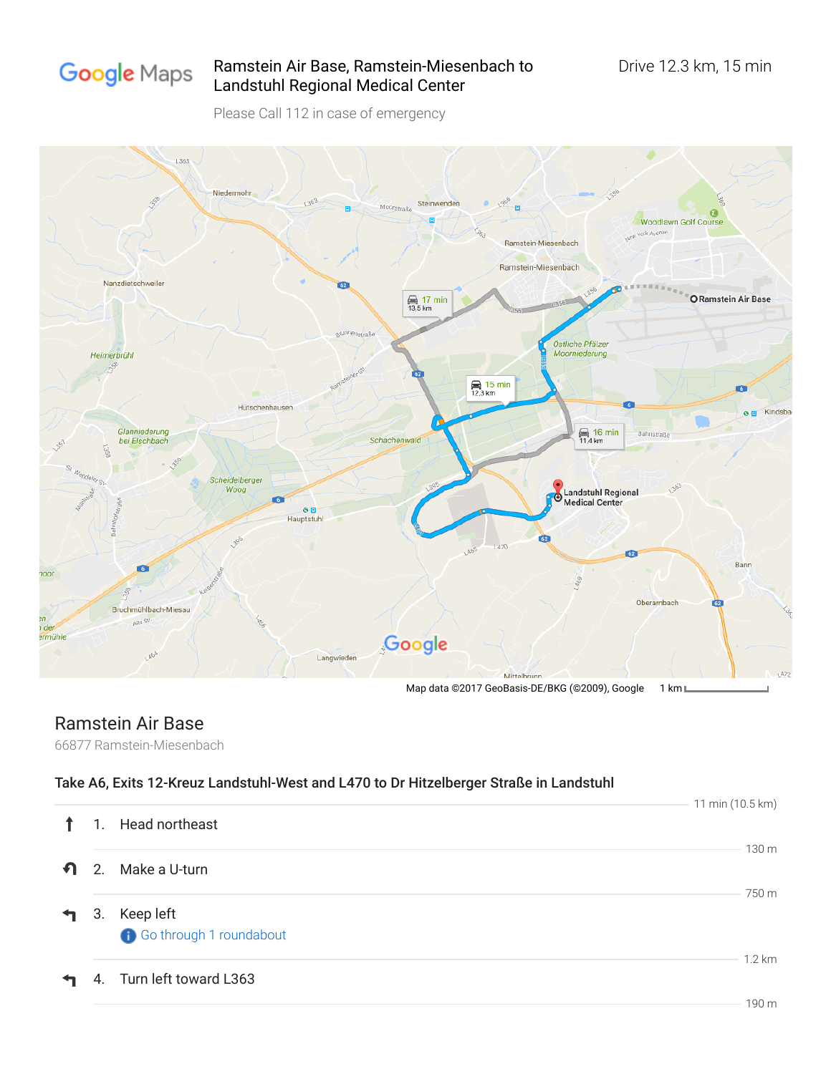

## Ramstein Air Base, Ramstein-Miesenbach to Drive 12.3 km, 15 min Landstuhl Regional Medical Center

Please Call 112 in case of emergency



## Ramstein Air Base

66877 Ramstein-Miesenbach

## Take A6, Exits 12-Kreuz Landstuhl-West and L470 to Dr Hitzelberger Straße in Landstuhl

|                        |    |                         | 11 min (10.5 km) |
|------------------------|----|-------------------------|------------------|
|                        | 1. | Head northeast          | 130 <sub>m</sub> |
| -ମ                     | 2. | Make a U-turn           |                  |
| $\mathbf{\mathcal{L}}$ | 3. | Keep left               | 750 m            |
|                        |    | Go through 1 roundabout |                  |
| ᡨ                      | 4. | Turn left toward L363   | $1.2 \text{ km}$ |
|                        |    |                         | 190 m            |